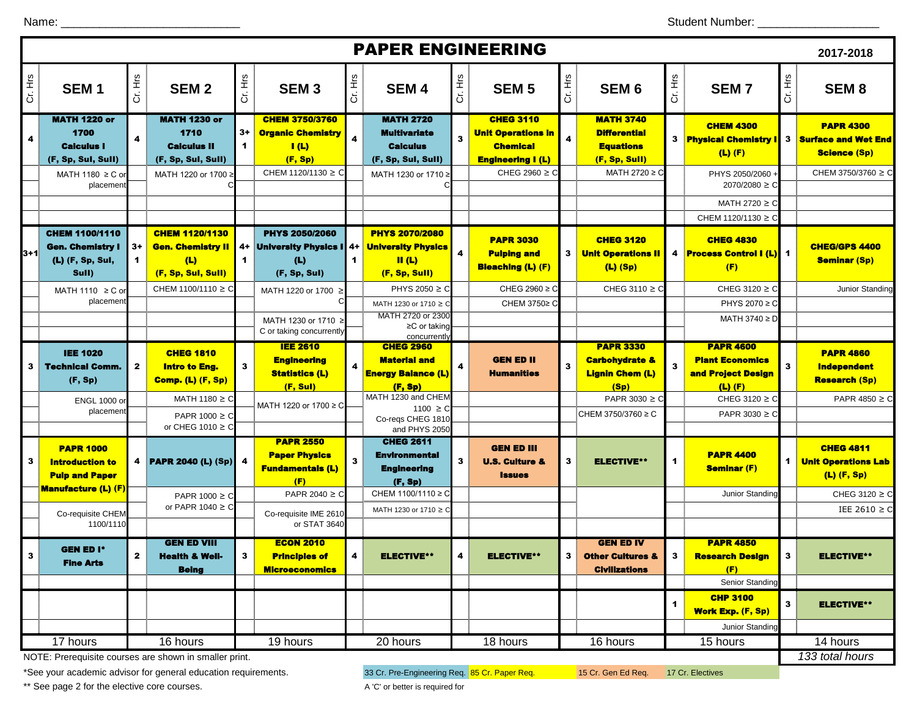| <b>PAPER ENGINEERING</b>                               |                                                                               |                              |                                                                                |           |                                                                                          |                         |                                                                                            |                         |                                                                                              |                         |                                                                              |                         | 2017-2018                                                      |                |                                                                       |
|--------------------------------------------------------|-------------------------------------------------------------------------------|------------------------------|--------------------------------------------------------------------------------|-----------|------------------------------------------------------------------------------------------|-------------------------|--------------------------------------------------------------------------------------------|-------------------------|----------------------------------------------------------------------------------------------|-------------------------|------------------------------------------------------------------------------|-------------------------|----------------------------------------------------------------|----------------|-----------------------------------------------------------------------|
| Cr. Hrs                                                | SEM <sub>1</sub>                                                              | Cr. Hrs                      | <b>SEM2</b>                                                                    | Cr. Hrs   | <b>SEM3</b>                                                                              | Cr. Hrs                 | <b>SEM4</b>                                                                                | Cr. Hrs                 | <b>SEM 5</b>                                                                                 | Cr. Hrs                 | SEM <sub>6</sub>                                                             | Cr. Hrs                 | <b>SEM7</b>                                                    | Cr. Hrs        | SEM <sub>8</sub>                                                      |
| 4                                                      | <b>MATH 1220 or</b><br>1700<br><b>Calculus I</b><br>(F, Sp, Sul, Sull)        | $\overline{4}$               | <b>MATH 1230 or</b><br>1710<br><b>Calculus II</b><br>(F, Sp, Sul, Sull)        | $3+$<br>1 | <b>CHEM 3750/3760</b><br><b>Organic Chemistry</b><br>$\mathbf{I}(\mathbf{L})$<br>(F, Sp) | $\overline{\mathbf{4}}$ | <b>MATH 2720</b><br><b>Multivariate</b><br><b>Calculus</b><br>(F, Sp, Sul, Sull)           | 3                       | <b>CHEG 3110</b><br><b>Unit Operations in</b><br><b>Chemical</b><br><b>Engineering I (L)</b> | $\overline{\mathbf{4}}$ | <b>MATH 3740</b><br><b>Differential</b><br><b>Equations</b><br>(F, Sp, Sull) |                         | <b>CHEM 4300</b><br><b>3</b> Physical Chemistry<br>$(L)$ $(F)$ | 3 <sup>1</sup> | <b>PAPR 4300</b><br><b>Surface and Wet End</b><br><b>Science (Sp)</b> |
|                                                        | MATH 1180 $\geq$ C or<br>placement                                            |                              | MATH 1220 or 1700 ≥                                                            |           | CHEM 1120/1130 ≥ C                                                                       |                         | MATH 1230 or 1710 2                                                                        |                         | CHEG 2960 $\geq$ C                                                                           |                         | MATH 2720 ≥ C                                                                |                         | PHYS 2050/2060<br>$2070/2080 \geq C$<br>MATH 2720 $\geq$ C     |                | CHEM 3750/3760 ≥ C                                                    |
|                                                        |                                                                               |                              |                                                                                |           |                                                                                          |                         |                                                                                            |                         |                                                                                              |                         |                                                                              |                         | CHEM 1120/1130 ≥ C                                             |                |                                                                       |
| 3+1                                                    | <b>CHEM 1100/1110</b><br><b>Gen. Chemistry I</b><br>(L) (F, Sp, Sul,<br>Sull) | $3+$<br>$\blacktriangleleft$ | <b>CHEM 1120/1130</b><br><b>Gen. Chemistry II</b><br>(L)<br>(F, Sp, Sul, Sull) | 4+<br>1   | <b>PHYS 2050/2060</b><br>University Physics I  4+<br>(L)<br>(F, Sp, Sul)                 | $\mathbf 1$             | <b>PHYS 2070/2080</b><br><b>University Physics</b><br>$\mathbf{II}$ (L)<br>(F, Sp, Sull)   | $\overline{\mathbf{4}}$ | <b>PAPR 3030</b><br><b>Pulping and</b><br><b>Bleaching (L) (F)</b>                           |                         | <b>CHEG 3120</b><br><b>3</b> Unit Operations II<br>$(L)$ (Sp)                |                         | <b>CHEG 4830</b><br>4 <b>Process Control I (L)</b> 1<br>(F)    |                | <b>CHEG/GPS 4400</b><br><b>Seminar (Sp)</b>                           |
|                                                        | MATH 1110 $\geq$ C or<br>placement                                            |                              | CHEM 1100/1110 ≥ C                                                             |           | MATH 1220 or 1700<br>≥                                                                   |                         | PHYS 2050 ≥ C<br>MATH 1230 or 1710 ≥ C<br>MATH 2720 or 2300                                |                         | CHEG 2960 $\geq$ C<br>CHEM 3750≥ C                                                           |                         | CHEG 3110 $\geq$ C                                                           |                         | CHEG 3120 ≥ C<br>PHYS 2070 ≥ C<br>MATH 3740 ≥ D                |                | Junior Standing                                                       |
|                                                        |                                                                               |                              |                                                                                |           | MATH 1230 or 1710 ≥<br>C or taking concurrently<br><b>IEE 2610</b>                       |                         | $\geq$ C or taking<br>concurrently<br><b>CHEG 2960</b>                                     |                         |                                                                                              |                         | <b>PAPR 3330</b>                                                             |                         | <b>PAPR 4600</b>                                               |                |                                                                       |
| 3                                                      | <b>IEE 1020</b><br><b>Technical Comm.</b><br>(F, Sp)                          | $\mathbf{2}$                 | <b>CHEG 1810</b><br><b>Intro to Eng.</b><br><b>Comp. (L) (F, Sp)</b>           | 3         | <b>Engineering</b><br><b>Statistics (L)</b><br>(F, Sul)                                  | $\overline{\mathbf{4}}$ | <b>Material and</b><br><b>Energy Balance (L)</b><br>(F, Sp)                                | 4                       | <b>GEN ED II</b><br><b>Humanities</b>                                                        | $\mathbf{3}$            | <b>Carbohydrate &amp;</b><br><b>Lignin Chem (L)</b><br>(Sp)                  | $\overline{\mathbf{3}}$ | <b>Plant Economics</b><br>and Project Design<br>$(L)$ $(F)$    | 3              | <b>PAPR 4860</b><br><b>Independent</b><br><b>Research (Sp)</b>        |
|                                                        | <b>ENGL 1000 or</b><br>placement                                              |                              | MATH 1180 $\geq$ C<br>PAPR 1000 ≥ C<br>or CHEG 1010 $\geq$ C                   |           | MATH 1220 or 1700 ≥ C                                                                    |                         | MATH 1230 and CHEM<br>1100 ≥ C<br>Co-reqs CHEG 1810                                        |                         |                                                                                              |                         | PAPR 3030 $\geq$ C<br>CHEM 3750/3760 ≥ C                                     |                         | CHEG 3120 $\geq$ C<br>PAPR 3030 $\geq$ 0                       |                | PAPR 4850 $\geq$ C                                                    |
| 3                                                      | <b>PAPR 1000</b><br><b>Introduction to</b><br><b>Pulp and Paper</b>           |                              | 4 <b>PAPR 2040 (L) (Sp)</b>                                                    |           | <b>PAPR 2550</b><br><b>Paper Physics</b><br><b>Fundamentals (L)</b><br>(F)               | $\mathbf{3}$            | and PHYS 2050<br><b>CHEG 2611</b><br><b>Environmental</b><br><b>Engineering</b><br>(F, Sp) | 3                       | <b>GEN ED III</b><br><b>U.S. Culture &amp;</b><br><b>Issues</b>                              | 3                       | <b>ELECTIVE**</b>                                                            | $\blacktriangleleft$    | <b>PAPR 4400</b><br><b>Seminar (F)</b>                         | $\mathbf 1$    | <b>CHEG 4811</b><br><b>Unit Operations Lab</b><br>$(L)$ (F, Sp)       |
|                                                        | <b>Manufacture (L) (F)</b><br>Co-requisite CHEM<br>1100/1110                  |                              | PAPR $1000 \ge C$<br>or PAPR 1040 $\geq$ C                                     |           | PAPR 2040 $\geq$ C<br>Co-requisite IME 2610<br>or STAT 3640                              |                         | CHEM 1100/1110 ≥ C<br>MATH 1230 or 1710 ≥ C                                                |                         |                                                                                              |                         |                                                                              |                         | Junior Standing                                                |                | CHEG 3120 $\geq$ C<br>IEE 2610 $\geq$ C                               |
| 3                                                      | <b>GEN ED I*</b><br><b>Fine Arts</b>                                          | $\mathbf{2}$                 | <b>GEN ED VIII</b><br><b>Health &amp; Well-</b><br><b>Being</b>                | 3         | <b>ECON 2010</b><br><b>Principles of</b><br><b>Microeconomics</b>                        | 4                       | <b>ELECTIVE**</b>                                                                          | 4                       | <b>ELECTIVE**</b>                                                                            | $\mathbf{3}$            | <b>GEN ED IV</b><br><b>Other Cultures &amp;</b><br><b>Civilizations</b>      | $\mathbf{3}$            | <b>PAPR 4850</b><br><b>Research Design</b><br>(F)              | 3              | <b>ELECTIVE**</b>                                                     |
|                                                        |                                                                               |                              |                                                                                |           |                                                                                          |                         |                                                                                            |                         |                                                                                              |                         |                                                                              | $\blacktriangleleft$    | Senior Standing<br><b>CHP 3100</b><br><b>Work Exp. (F, Sp)</b> | $\mathbf{3}$   | <b>ELECTIVE**</b>                                                     |
|                                                        | 17 hours                                                                      |                              | 16 hours                                                                       |           | 19 hours                                                                                 |                         | 20 hours                                                                                   |                         | 18 hours                                                                                     |                         | 16 hours                                                                     |                         | Junior Standing<br>$\overline{15}$ hours                       |                | 14 hours                                                              |
| NOTE: Prerequisite courses are shown in smaller print. |                                                                               |                              |                                                                                |           |                                                                                          |                         |                                                                                            |                         |                                                                                              |                         |                                                                              |                         |                                                                |                | 133 total hours                                                       |

NOTE: Prerequisite courses are shown in smaller print.

\*See your academic advisor for general education requirements. 48 Cr. Pre-Engineering Req. 85 Cr. Paper Req. 45 Cr. Gen Ed Req. 47 Cr. Electives

\*\* See page 2 for the elective core courses. A 'C' or better is required for